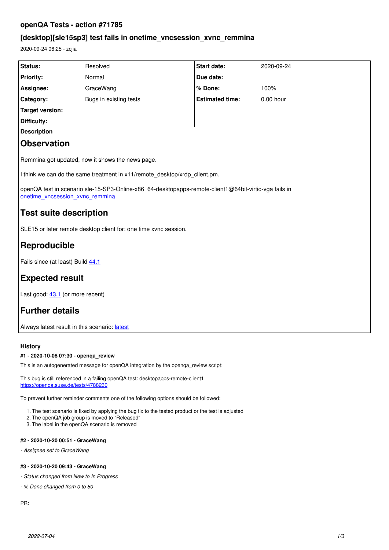# **openQA Tests - action #71785**

# **[desktop][sle15sp3] test fails in onetime\_vncsession\_xvnc\_remmina**

2020-09-24 06:25 - zcjia

| Status:                                                                                                                                  | Resolved               | <b>Start date:</b>     | 2020-09-24 |
|------------------------------------------------------------------------------------------------------------------------------------------|------------------------|------------------------|------------|
| <b>Priority:</b>                                                                                                                         | Normal                 | Due date:              |            |
| Assignee:                                                                                                                                | GraceWang              | % Done:                | 100%       |
| Category:                                                                                                                                | Bugs in existing tests | <b>Estimated time:</b> | 0.00 hour  |
| <b>Target version:</b>                                                                                                                   |                        |                        |            |
| <b>Difficulty:</b>                                                                                                                       |                        |                        |            |
| <b>Description</b>                                                                                                                       |                        |                        |            |
| <b>Observation</b>                                                                                                                       |                        |                        |            |
| Remmina got updated, now it shows the news page.                                                                                         |                        |                        |            |
| I think we can do the same treatment in x11/remote_desktop/xrdp_client.pm.                                                               |                        |                        |            |
| openQA test in scenario sle-15-SP3-Online-x86_64-desktopapps-remote-client1@64bit-virtio-vga fails in<br>onetime vncsession xvnc remmina |                        |                        |            |
| <b>Test suite description</b>                                                                                                            |                        |                        |            |
| SLE15 or later remote desktop client for: one time xvnc session.                                                                         |                        |                        |            |
| Reproducible                                                                                                                             |                        |                        |            |
| Fails since (at least) Build 44.1                                                                                                        |                        |                        |            |
| <b>Expected result</b>                                                                                                                   |                        |                        |            |
| Last good: 43.1 (or more recent)                                                                                                         |                        |                        |            |
| <b>Further details</b>                                                                                                                   |                        |                        |            |
| Always latest result in this scenario: latest                                                                                            |                        |                        |            |

# **History**

## **#1 - 2020-10-08 07:30 - openqa\_review**

This is an autogenerated message for openQA integration by the openqa\_review script:

This bug is still referenced in a failing openQA test: desktopapps-remote-client1 <https://openqa.suse.de/tests/4788230>

To prevent further reminder comments one of the following options should be followed:

1. The test scenario is fixed by applying the bug fix to the tested product or the test is adjusted

- 2. The openQA job group is moved to "Released"
- 3. The label in the openQA scenario is removed

# **#2 - 2020-10-20 00:51 - GraceWang**

*- Assignee set to GraceWang*

# **#3 - 2020-10-20 09:43 - GraceWang**

*- Status changed from New to In Progress*

*- % Done changed from 0 to 80*

PR: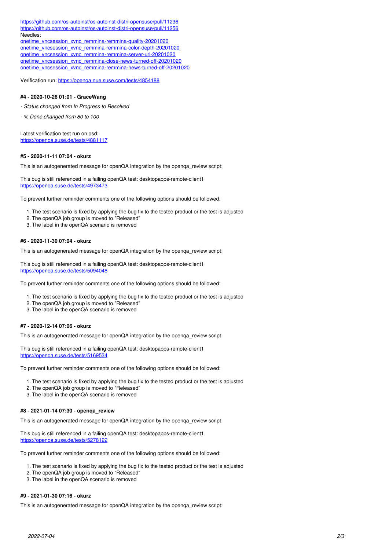<https://github.com/os-autoinst/os-autoinst-distri-opensuse/pull/11236> <https://github.com/os-autoinst/os-autoinst-distri-opensuse/pull/11256> Needles: [onetime\\_vncsession\\_xvnc\\_remmina-remmina-quality-20201020](https://gitlab.suse.de/openqa/os-autoinst-needles-sles/-/commit/6e274848dfe9d0a4b54cc4a632293f549100dd2c)

[onetime\\_vncsession\\_xvnc\\_remmina-remmina-color-depth-20201020](https://gitlab.suse.de/openqa/os-autoinst-needles-sles/-/commit/4ca0e5bc554bb465ad38842719a1aaf0dd9eabf3) [onetime\\_vncsession\\_xvnc\\_remmina-remmina-server-url-20201020](https://gitlab.suse.de/openqa/os-autoinst-needles-sles/-/commit/f08f3688aa9c970cff8a7c82dfbee0d06a0b531c) [onetime\\_vncsession\\_xvnc\\_remmina-close-news-turned-off-20201020](https://gitlab.suse.de/openqa/os-autoinst-needles-sles/-/commit/c7c391dcf74309ccffc6d702c7b68d80f1952b12) [onetime\\_vncsession\\_xvnc\\_remmina-remmina-news-turned-off-20201020](https://gitlab.suse.de/openqa/os-autoinst-needles-sles/-/commit/79449715d7e96a8b04d459a1865e0ceb92815067)

Verification run: <https://openqa.nue.suse.com/tests/4854188>

#### **#4 - 2020-10-26 01:01 - GraceWang**

*- Status changed from In Progress to Resolved*

*- % Done changed from 80 to 100*

Latest verification test run on osd: <https://openqa.suse.de/tests/4881117>

#### **#5 - 2020-11-11 07:04 - okurz**

This is an autogenerated message for openQA integration by the openqa\_review script:

This bug is still referenced in a failing openQA test: desktopapps-remote-client1 <https://openqa.suse.de/tests/4973473>

To prevent further reminder comments one of the following options should be followed:

- 1. The test scenario is fixed by applying the bug fix to the tested product or the test is adjusted
- 2. The openQA job group is moved to "Released"
- 3. The label in the openQA scenario is removed

### **#6 - 2020-11-30 07:04 - okurz**

This is an autogenerated message for openQA integration by the openqa\_review script:

This bug is still referenced in a failing openQA test: desktopapps-remote-client1 https://openga.suse.de/tests/5094048

To prevent further reminder comments one of the following options should be followed:

- 1. The test scenario is fixed by applying the bug fix to the tested product or the test is adjusted
- 2. The openQA job group is moved to "Released"
- 3. The label in the openQA scenario is removed

#### **#7 - 2020-12-14 07:06 - okurz**

This is an autogenerated message for openQA integration by the openga\_review script:

This bug is still referenced in a failing openQA test: desktopapps-remote-client1 <https://openqa.suse.de/tests/5169534>

To prevent further reminder comments one of the following options should be followed:

- 1. The test scenario is fixed by applying the bug fix to the tested product or the test is adjusted
- 2. The openQA job group is moved to "Released"
- 3. The label in the openQA scenario is removed

## **#8 - 2021-01-14 07:30 - openqa\_review**

This is an autogenerated message for openQA integration by the openqa\_review script:

This bug is still referenced in a failing openQA test: desktopapps-remote-client1 <https://openqa.suse.de/tests/5278122>

To prevent further reminder comments one of the following options should be followed:

- 1. The test scenario is fixed by applying the bug fix to the tested product or the test is adjusted
- 2. The openQA job group is moved to "Released"
- 3. The label in the openQA scenario is removed

## **#9 - 2021-01-30 07:16 - okurz**

This is an autogenerated message for openQA integration by the openqa\_review script: